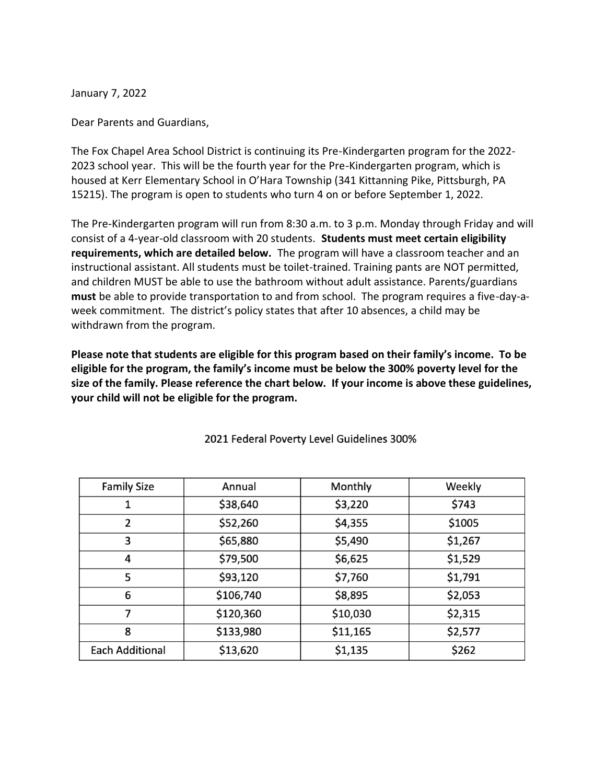January 7, 2022

Dear Parents and Guardians,

The Fox Chapel Area School District is continuing its Pre-Kindergarten program for the 2022- 2023 school year. This will be the fourth year for the Pre-Kindergarten program, which is housed at Kerr Elementary School in O'Hara Township (341 Kittanning Pike, Pittsburgh, PA 15215). The program is open to students who turn 4 on or before September 1, 2022.

The Pre-Kindergarten program will run from 8:30 a.m. to 3 p.m. Monday through Friday and will consist of a 4-year-old classroom with 20 students. **Students must meet certain eligibility requirements, which are detailed below.** The program will have a classroom teacher and an instructional assistant. All students must be toilet-trained. Training pants are NOT permitted, and children MUST be able to use the bathroom without adult assistance. Parents/guardians **must** be able to provide transportation to and from school. The program requires a five-day-aweek commitment. The district's policy states that after 10 absences, a child may be withdrawn from the program.

**Please note that students are eligible for this program based on their family's income. To be eligible for the program, the family's income must be below the 300% poverty level for the size of the family. Please reference the chart below. If your income is above these guidelines, your child will not be eligible for the program.** 

| <b>Family Size</b>     | Annual    | Monthly  | Weekly  |
|------------------------|-----------|----------|---------|
|                        | \$38,640  | \$3,220  | \$743   |
| 2                      | \$52,260  | \$4,355  | \$1005  |
| 3                      | \$65,880  | \$5,490  | \$1,267 |
| 4                      | \$79,500  | \$6,625  | \$1,529 |
| 5                      | \$93,120  | \$7,760  | \$1,791 |
| 6                      | \$106,740 | \$8,895  | \$2,053 |
| 7                      | \$120,360 | \$10,030 | \$2,315 |
| 8                      | \$133,980 | \$11,165 | \$2,577 |
| <b>Each Additional</b> | \$13,620  | \$1,135  | \$262   |

2021 Federal Poverty Level Guidelines 300%